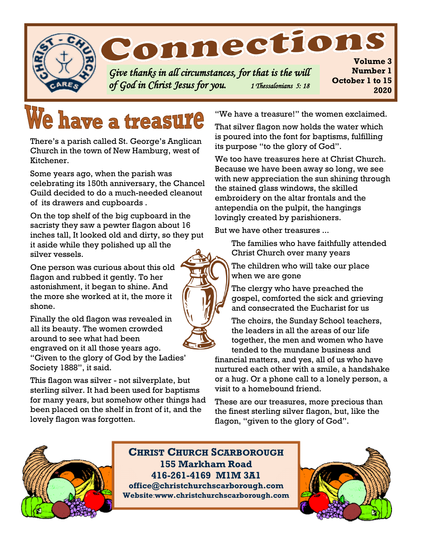

# **We have a treasure**

There's a parish called St. George's Anglican Church in the town of New Hamburg, west of Kitchener.

Some years ago, when the parish was celebrating its 150th anniversary, the Chancel Guild decided to do a much-needed cleanout of its drawers and cupboards .

On the top shelf of the big cupboard in the sacristy they saw a pewter flagon about 16 inches tall, It looked old and dirty, so they put it aside while they polished up all the silver vessels.

One person was curious about this old flagon and rubbed it gently. To her astonishment, it began to shine. And the more she worked at it, the more it shone.

Finally the old flagon was revealed in all its beauty. The women crowded around to see what had been engraved on it all those years ago. "Given to the glory of God by the Ladies' Society 1888", it said.

This flagon was silver - not silverplate, but sterling silver. It had been used for baptisms for many years, but somehow other things had been placed on the shelf in front of it, and the lovely flagon was forgotten.

"We have a treasure!" the women exclaimed.

That silver flagon now holds the water which is poured into the font for baptisms, fulfilling its purpose "to the glory of God".

We too have treasures here at Christ Church. Because we have been away so long, we see with new appreciation the sun shining through the stained glass windows, the skilled embroidery on the altar frontals and the antependia on the pulpit, the hangings lovingly created by parishioners.

But we have other treasures ...

The families who have faithfully attended Christ Church over many years

The children who will take our place when we are gone

The clergy who have preached the gospel, comforted the sick and grieving and consecrated the Eucharist for us

The choirs, the Sunday School teachers, the leaders in all the areas of our life together, the men and women who have tended to the mundane business and

financial matters, and yes, all of us who have nurtured each other with a smile, a handshake or a hug. Or a phone call to a lonely person, a visit to a homebound friend.

These are our treasures, more precious than the finest sterling silver flagon, but, like the flagon, "given to the glory of God".



**CHRIST CHURCH SCARBOROUGH 155 Markham Road 416-261-4169 M1M 3A1 office@christchurchscarborough.com Website**:**www.christchurchscarborough.com**



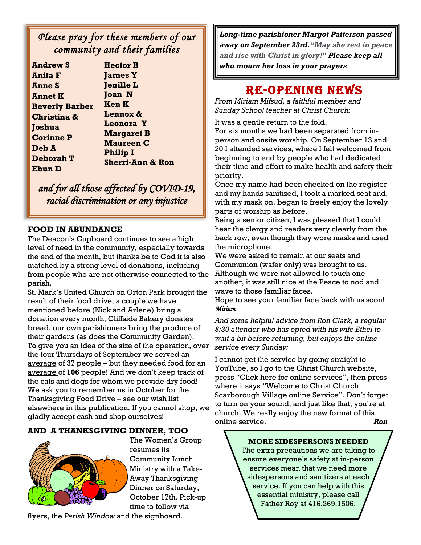## *Please pray for these members of our community and their families*

| <b>Hector B</b>           |
|---------------------------|
| <b>James Y</b>            |
| <b>Jenille L</b>          |
| <b>Joan N</b>             |
| <b>Ken K</b>              |
| Lennox &                  |
| <b>Leonora Y</b>          |
| <b>Margaret B</b>         |
| <b>Maureen C</b>          |
| <b>Philip I</b>           |
| <b>Sherri-Ann &amp; R</b> |
|                           |
|                           |

*and for all those affected by COVID-19, racial discrimination or any injustice* 

on.

#### **FOOD IN ABUNDANCE**

from people who are not otherwise connected to the Although we were not allowed to touch one The Deacon's Cupboard continues to see a high level of need in the community, especially towards the end of the month, but thanks be to God it is also matched by a strong level of donations, including parish.

St. Mark's United Church on Orton Park brought the result of their food drive, a couple we have mentioned before (Nick and Arlene) bring a donation every month, Cliffside Bakery donates bread, our own parishioners bring the produce of their gardens (as does the Community Garden). To give you an idea of the size of the operation, over the four Thursdays of September we served an average of 37 people – but they needed food for an average of **106** people! And we don't keep track of the cats and dogs for whom we provide dry food! We ask you to remember us in October for the Thanksgiving Food Drive – see our wish list elsewhere in this publication. If you cannot shop, we gladly accept cash and shop ourselves!

#### **AND A THANKSGIVING DINNER, TOO**



The Women's Group resumes its Community Lunch Ministry with a Take-Away Thanksgiving Dinner on Saturday, October 17th. Pick-up time to follow via

flyers, the *Parish Window* and the signboard.

*Long-time parishioner Margot Patterson passed away on September 23rd."May she rest in peace and rise with Christ in glory!" Please keep all who mourn her loss in your prayers*.

## RE-OPENING NEWS

*From Miriam Mifsud, a faithful member and Sunday School teacher at Christ Church:*

It was a gentle return to the fold.

For six months we had been separated from inperson and onsite worship. On September 13 and 20 I attended services, where I felt welcomed from beginning to end by people who had dedicated their time and effort to make health and safety their priority.

Once my name had been checked on the register and my hands sanitized, I took a marked seat and, with my mask on, began to freely enjoy the lovely parts of worship as before.

Being a senior citizen, I was pleased that I could hear the clergy and readers very clearly from the back row, even though they wore masks and used the microphone.

We were asked to remain at our seats and Communion (wafer only) was brought to us. another, it was still nice at the Peace to nod and wave to those familiar faces.

Hope to see your familiar face back with us soon! *Miriam* 

*And some helpful advice from Ron Clark, a regular 8:30 attender who has opted with his wife Ethel to wait a bit before returning, but enjoys the online service every Sunday:*

I cannot get the service by going straight to YouTube, so I go to the Christ Church website, press "Click here for online services", then press where it says "Welcome to Christ Church Scarborough Village online Service". Don't forget to turn on your sound, and just like that, you're at church. We really enjoy the new format of this online service. *Ron*

#### **MORE SIDESPERSONS NEEDED**

The extra precautions we are taking to ensure everyone's safety at in-person services mean that we need more sidespersons and sanitizers at each service. If you can help with this essential ministry, please call Father Roy at 416.269.1506.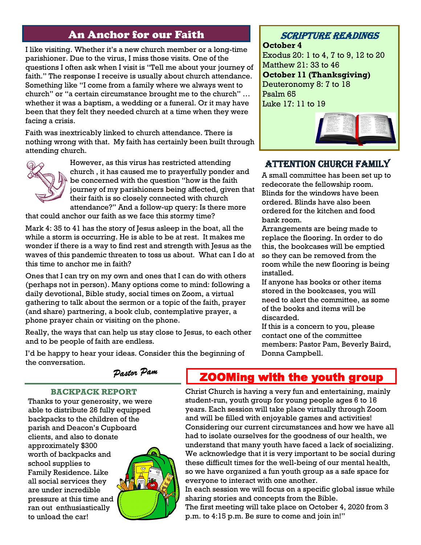## An Anchor for our Faith

I like visiting. Whether it's a new church member or a long-time parishioner. Due to the virus, I miss those visits. One of the questions I often ask when I visit is "Tell me about your journey of faith." The response I receive is usually about church attendance. Something like "I come from a family where we always went to church" or "a certain circumstance brought me to the church" … whether it was a baptism, a wedding or a funeral. Or it may have been that they felt they needed church at a time when they were facing a crisis.

Faith was inextricably linked to church attendance. There is nothing wrong with that. My faith has certainly been built through attending church.



However, as this virus has restricted attending church , it has caused me to prayerfully ponder and be concerned with the question "how is the faith journey of my parishioners being affected, given that their faith is so closely connected with church attendance?" And a follow-up query: Is there more

that could anchor our faith as we face this stormy time?

Mark 4: 35 to 41 has the story of Jesus asleep in the boat, all the while a storm is occurring. He is able to be at rest. It makes me wonder if there is a way to find rest and strength with Jesus as the waves of this pandemic threaten to toss us about. What can I do at this time to anchor me in faith?

Ones that I can try on my own and ones that I can do with others (perhaps not in person). Many options come to mind: following a daily devotional, Bible study, social times on Zoom, a virtual gathering to talk about the sermon or a topic of the faith, prayer (and share) partnering, a book club, contemplative prayer, a phone prayer chain or visiting on the phone.

Really, the ways that can help us stay close to Jesus, to each other and to be people of faith are endless.

## Scripture Readings

**October 4** Exodus 20: 1 to 4, 7 to 9, 12 to 20 Matthew 21: 33 to 46 **October 11 (Thanksgiving)** Deuteronomy 8: 7 to 18 Psalm 65 Luke 17: 11 to 19



### Attention Church Family

A small committee has been set up to redecorate the fellowship room. Blinds for the windows have been ordered. Blinds have also been ordered for the kitchen and food bank room.

Arrangements are being made to replace the flooring. In order to do this, the bookcases will be emptied so they can be removed from the room while the new flooring is being installed.

If anyone has books or other items stored in the bookcases, you will need to alert the committee, as some of the books and items will be discarded.

If this is a concern to you, please contact one of the committee members: Pastor Pam, Beverly Baird, Donna Campbell.

I'd be happy to hear your ideas. Consider this the beginning of the conversation.

#### Dastor Pam

#### **BACKPACK REPORT**

Thanks to your generosity, we were able to distribute 26 fully equipped backpacks to the children of the parish and Deacon's Cupboard clients, and also to donate approximately \$300 worth of backpacks and school supplies to Family Residence. Like all social services they are under incredible pressure at this time and ran out enthusiastically to unload the car!



## **ZOOMing with the youth group**

Christ Church is having a very fun and entertaining, mainly student-run, youth group for young people ages 6 to 16 years. Each session will take place virtually through Zoom and will be filled with enjoyable games and activities! Considering our current circumstances and how we have all had to isolate ourselves for the goodness of our health, we understand that many youth have faced a lack of socializing. We acknowledge that it is very important to be social during these difficult times for the well-being of our mental health, so we have organized a fun youth group as a safe space for everyone to interact with one another.

In each session we will focus on a specific global issue while sharing stories and concepts from the Bible. The first meeting will take place on October 4, 2020 from 3 p.m. to 4:15 p.m. Be sure to come and join in!"